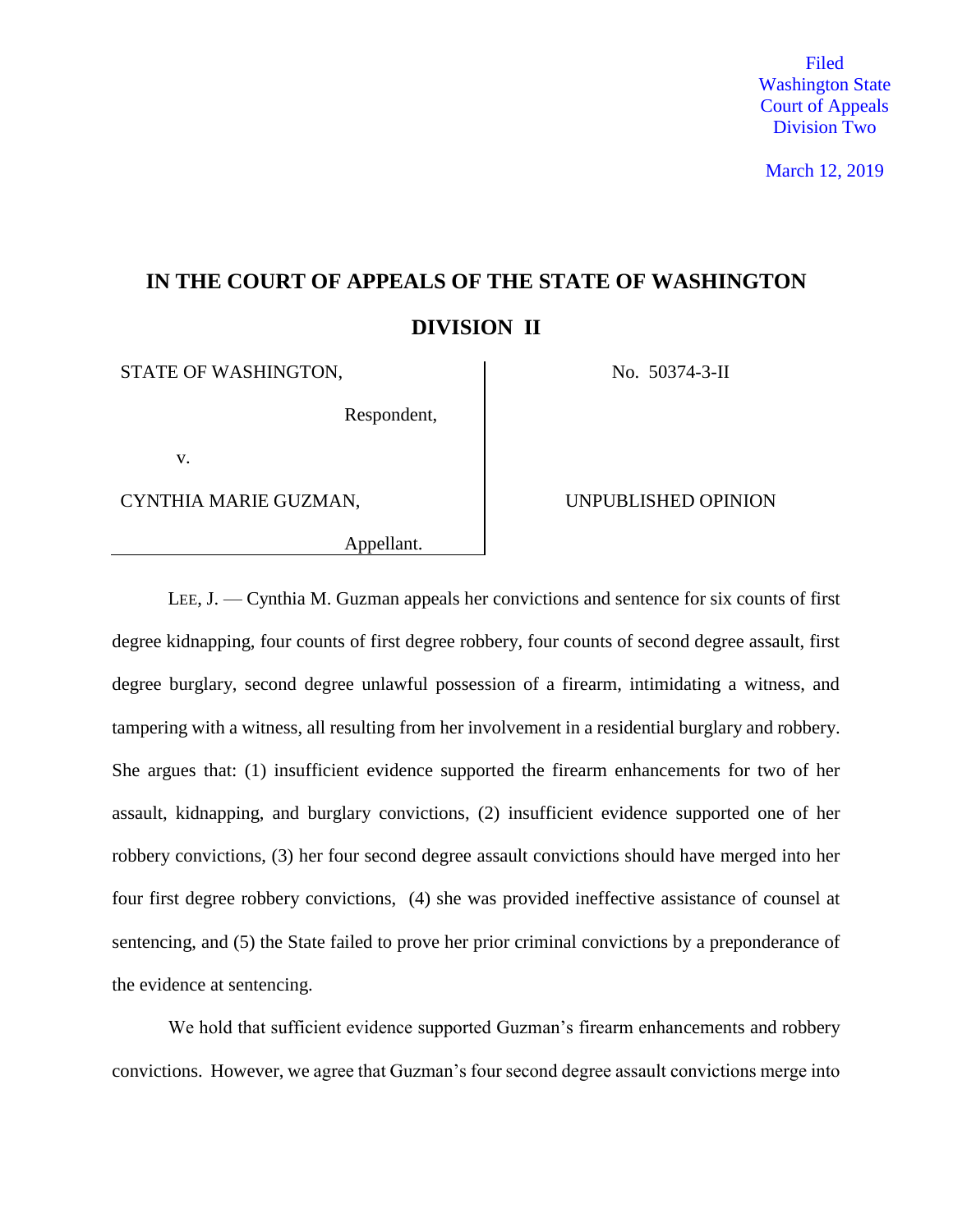Filed Washington State Court of Appeals Division Two

March 12, 2019

# **IN THE COURT OF APPEALS OF THE STATE OF WASHINGTON DIVISION II**

STATE OF WASHINGTON,  $\vert$  No. 50374-3-II

Respondent,

v.

CYNTHIA MARIE GUZMAN, UNPUBLISHED OPINION

Appellant.

LEE, J. — Cynthia M. Guzman appeals her convictions and sentence for six counts of first degree kidnapping, four counts of first degree robbery, four counts of second degree assault, first degree burglary, second degree unlawful possession of a firearm, intimidating a witness, and tampering with a witness, all resulting from her involvement in a residential burglary and robbery. She argues that: (1) insufficient evidence supported the firearm enhancements for two of her assault, kidnapping, and burglary convictions, (2) insufficient evidence supported one of her robbery convictions, (3) her four second degree assault convictions should have merged into her four first degree robbery convictions, (4) she was provided ineffective assistance of counsel at sentencing, and (5) the State failed to prove her prior criminal convictions by a preponderance of the evidence at sentencing.

We hold that sufficient evidence supported Guzman's firearm enhancements and robbery convictions. However, we agree that Guzman's four second degree assault convictions merge into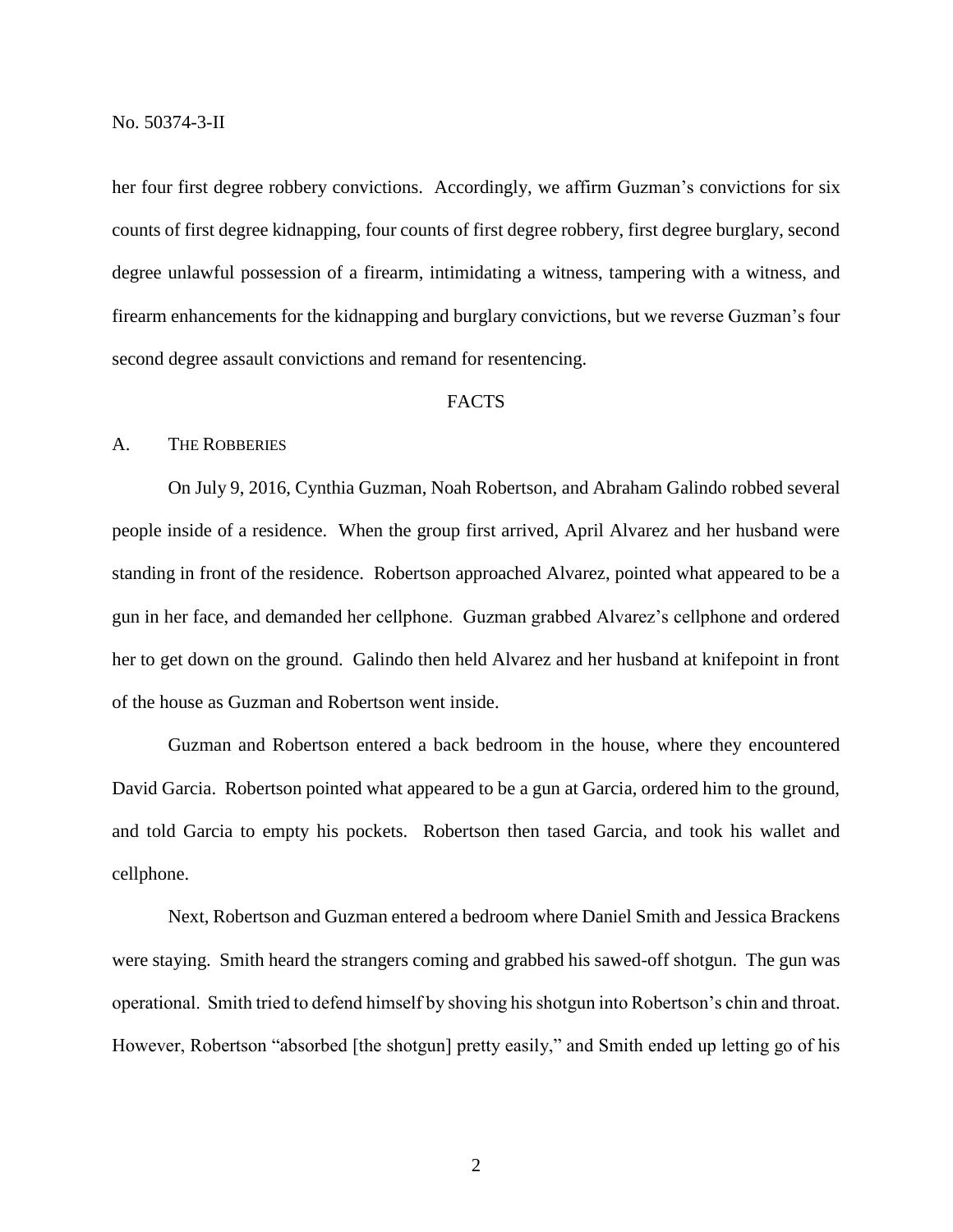her four first degree robbery convictions. Accordingly, we affirm Guzman's convictions for six counts of first degree kidnapping, four counts of first degree robbery, first degree burglary, second degree unlawful possession of a firearm, intimidating a witness, tampering with a witness, and firearm enhancements for the kidnapping and burglary convictions, but we reverse Guzman's four second degree assault convictions and remand for resentencing.

# FACTS

### A. THE ROBBERIES

On July 9, 2016, Cynthia Guzman, Noah Robertson, and Abraham Galindo robbed several people inside of a residence. When the group first arrived, April Alvarez and her husband were standing in front of the residence. Robertson approached Alvarez, pointed what appeared to be a gun in her face, and demanded her cellphone. Guzman grabbed Alvarez's cellphone and ordered her to get down on the ground. Galindo then held Alvarez and her husband at knifepoint in front of the house as Guzman and Robertson went inside.

Guzman and Robertson entered a back bedroom in the house, where they encountered David Garcia. Robertson pointed what appeared to be a gun at Garcia, ordered him to the ground, and told Garcia to empty his pockets. Robertson then tased Garcia, and took his wallet and cellphone.

Next, Robertson and Guzman entered a bedroom where Daniel Smith and Jessica Brackens were staying. Smith heard the strangers coming and grabbed his sawed-off shotgun. The gun was operational. Smith tried to defend himself by shoving his shotgun into Robertson's chin and throat. However, Robertson "absorbed [the shotgun] pretty easily," and Smith ended up letting go of his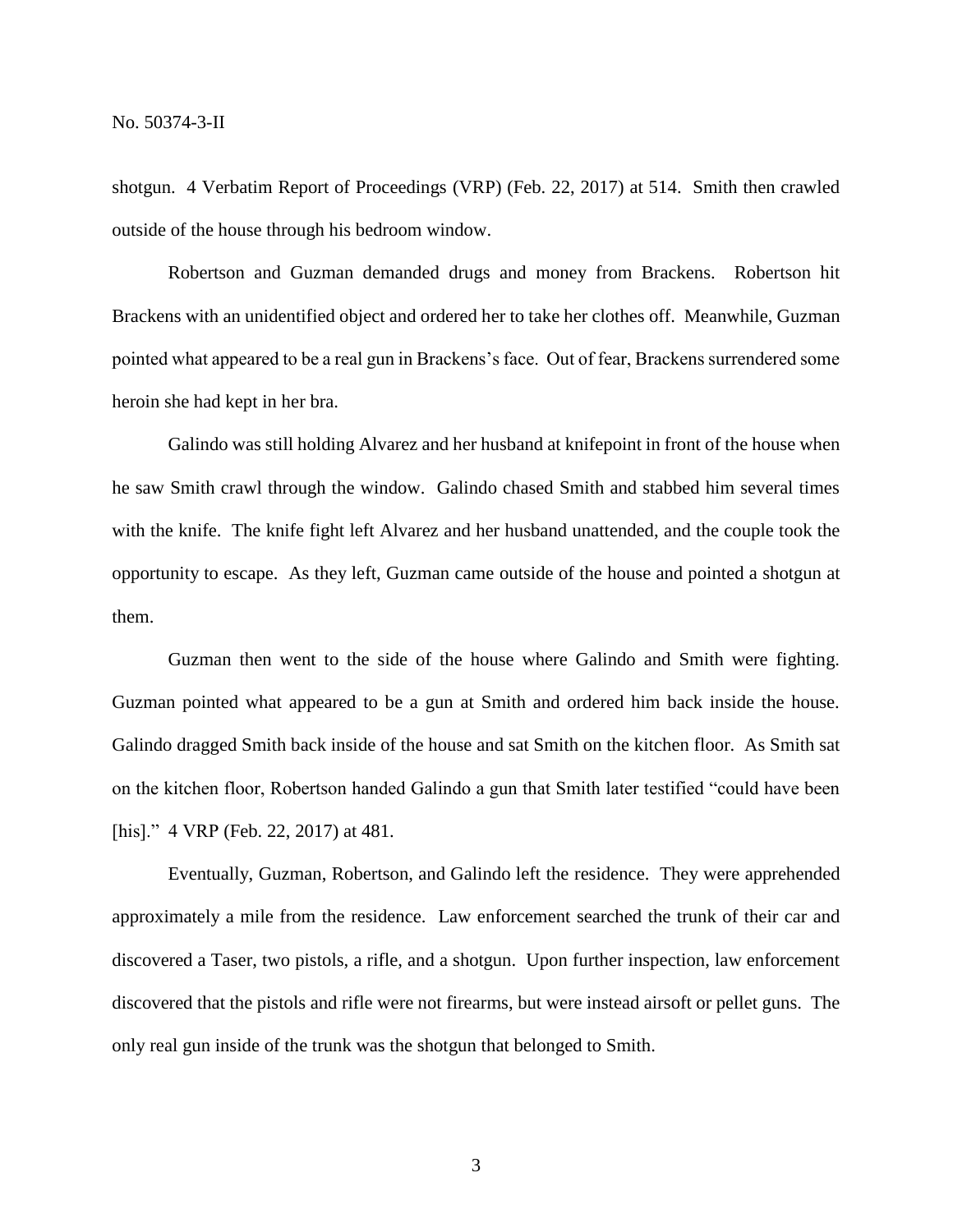shotgun. 4 Verbatim Report of Proceedings (VRP) (Feb. 22, 2017) at 514. Smith then crawled outside of the house through his bedroom window.

Robertson and Guzman demanded drugs and money from Brackens. Robertson hit Brackens with an unidentified object and ordered her to take her clothes off. Meanwhile, Guzman pointed what appeared to be a real gun in Brackens's face. Out of fear, Brackens surrendered some heroin she had kept in her bra.

Galindo was still holding Alvarez and her husband at knifepoint in front of the house when he saw Smith crawl through the window. Galindo chased Smith and stabbed him several times with the knife. The knife fight left Alvarez and her husband unattended, and the couple took the opportunity to escape. As they left, Guzman came outside of the house and pointed a shotgun at them.

Guzman then went to the side of the house where Galindo and Smith were fighting. Guzman pointed what appeared to be a gun at Smith and ordered him back inside the house. Galindo dragged Smith back inside of the house and sat Smith on the kitchen floor. As Smith sat on the kitchen floor, Robertson handed Galindo a gun that Smith later testified "could have been [his]." 4 VRP (Feb. 22, 2017) at 481.

Eventually, Guzman, Robertson, and Galindo left the residence. They were apprehended approximately a mile from the residence. Law enforcement searched the trunk of their car and discovered a Taser, two pistols, a rifle, and a shotgun. Upon further inspection, law enforcement discovered that the pistols and rifle were not firearms, but were instead airsoft or pellet guns. The only real gun inside of the trunk was the shotgun that belonged to Smith.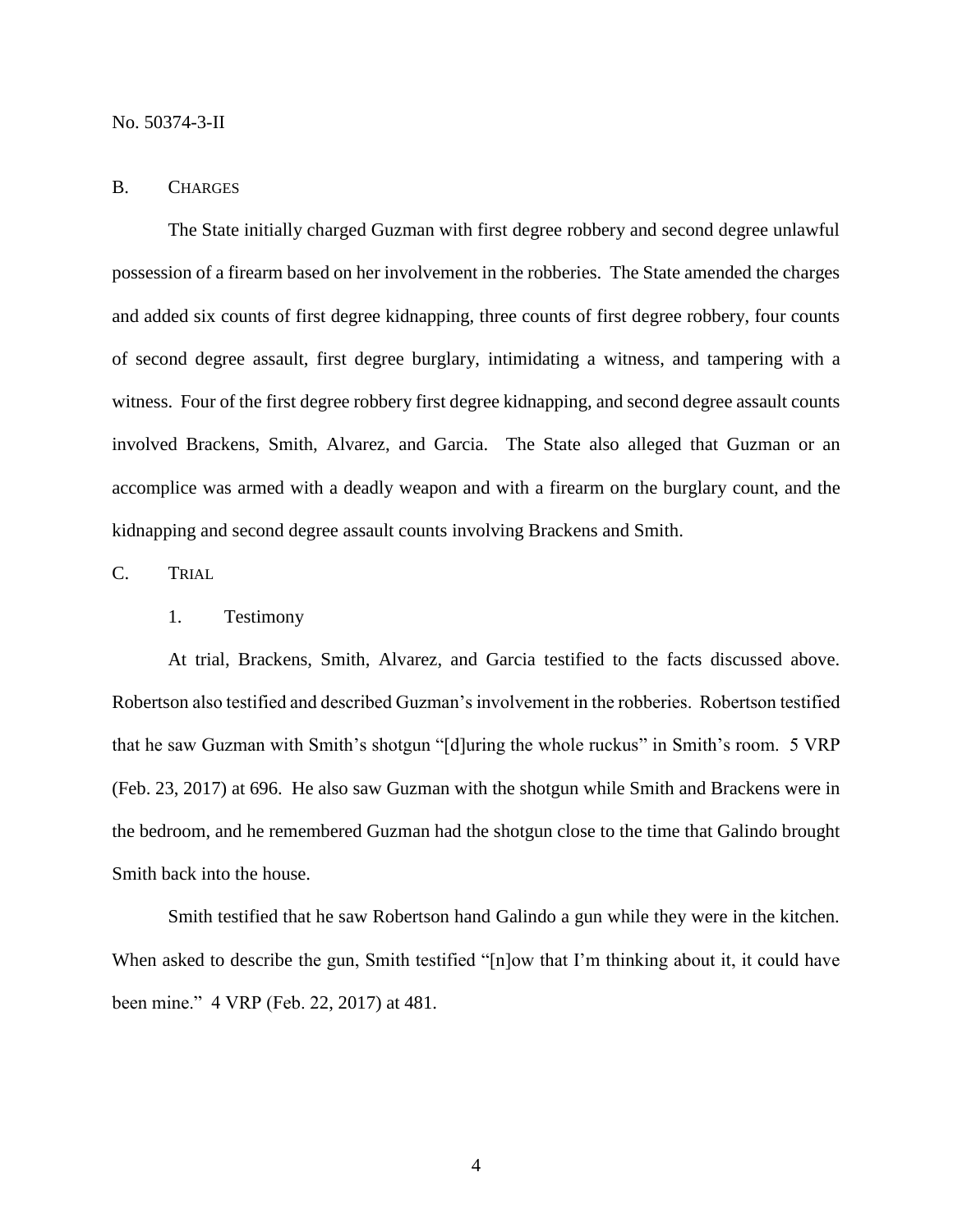#### No. 50374-3-II

#### B. CHARGES

The State initially charged Guzman with first degree robbery and second degree unlawful possession of a firearm based on her involvement in the robberies. The State amended the charges and added six counts of first degree kidnapping, three counts of first degree robbery, four counts of second degree assault, first degree burglary, intimidating a witness, and tampering with a witness. Four of the first degree robbery first degree kidnapping, and second degree assault counts involved Brackens, Smith, Alvarez, and Garcia. The State also alleged that Guzman or an accomplice was armed with a deadly weapon and with a firearm on the burglary count, and the kidnapping and second degree assault counts involving Brackens and Smith.

C. TRIAL

### 1. Testimony

At trial, Brackens, Smith, Alvarez, and Garcia testified to the facts discussed above. Robertson also testified and described Guzman's involvement in the robberies. Robertson testified that he saw Guzman with Smith's shotgun "[d]uring the whole ruckus" in Smith's room. 5 VRP (Feb. 23, 2017) at 696. He also saw Guzman with the shotgun while Smith and Brackens were in the bedroom, and he remembered Guzman had the shotgun close to the time that Galindo brought Smith back into the house.

Smith testified that he saw Robertson hand Galindo a gun while they were in the kitchen. When asked to describe the gun, Smith testified "[n]ow that I'm thinking about it, it could have been mine." 4 VRP (Feb. 22, 2017) at 481.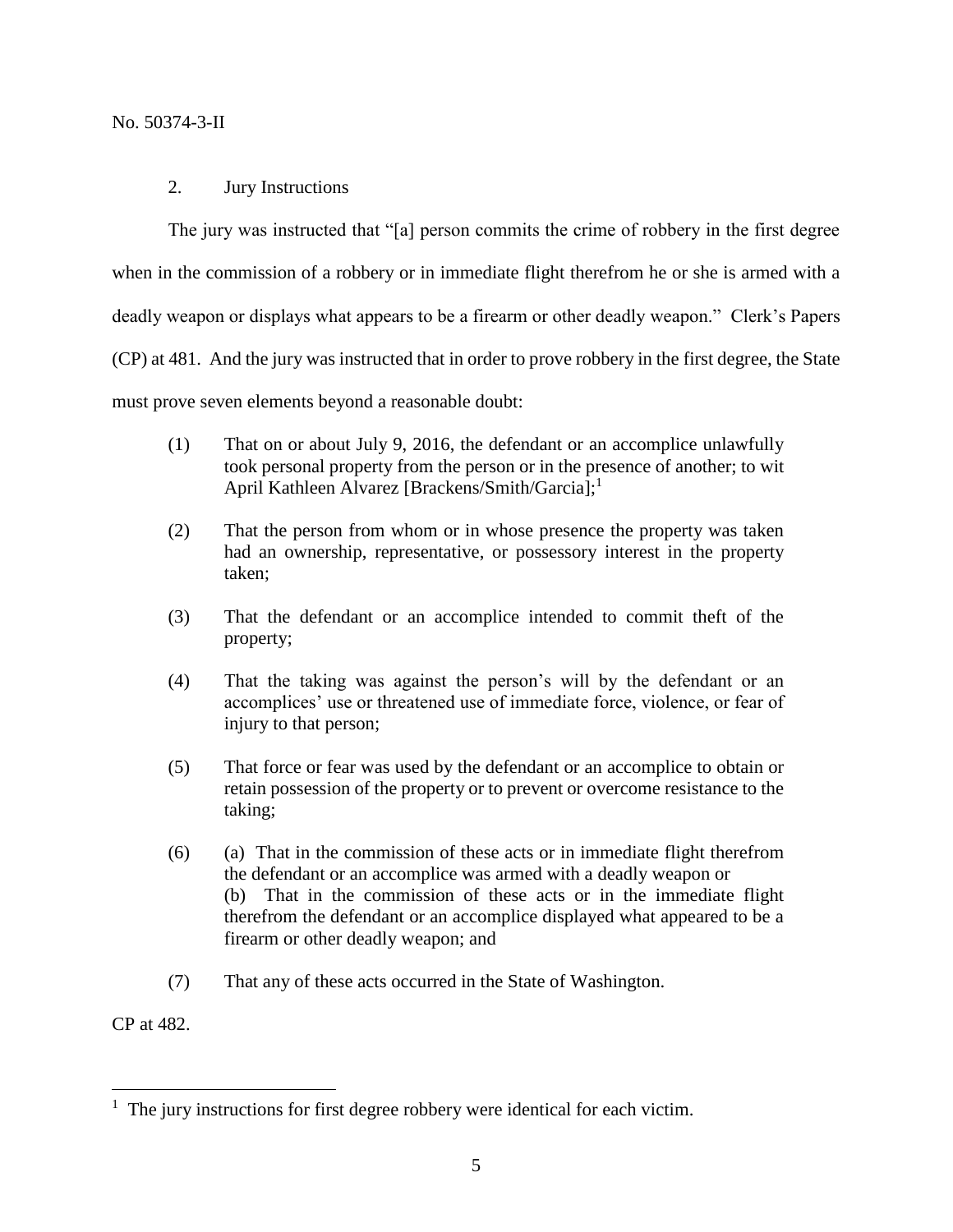# No. 50374-3-II

# 2. Jury Instructions

The jury was instructed that "[a] person commits the crime of robbery in the first degree when in the commission of a robbery or in immediate flight therefrom he or she is armed with a deadly weapon or displays what appears to be a firearm or other deadly weapon." Clerk's Papers (CP) at 481. And the jury was instructed that in order to prove robbery in the first degree, the State must prove seven elements beyond a reasonable doubt:

- (1) That on or about July 9, 2016, the defendant or an accomplice unlawfully took personal property from the person or in the presence of another; to wit April Kathleen Alvarez [Brackens/Smith/Garcia];<sup>1</sup>
- (2) That the person from whom or in whose presence the property was taken had an ownership, representative, or possessory interest in the property taken;
- (3) That the defendant or an accomplice intended to commit theft of the property;
- (4) That the taking was against the person's will by the defendant or an accomplices' use or threatened use of immediate force, violence, or fear of injury to that person;
- (5) That force or fear was used by the defendant or an accomplice to obtain or retain possession of the property or to prevent or overcome resistance to the taking;
- (6) (a) That in the commission of these acts or in immediate flight therefrom the defendant or an accomplice was armed with a deadly weapon or (b) That in the commission of these acts or in the immediate flight therefrom the defendant or an accomplice displayed what appeared to be a firearm or other deadly weapon; and
- (7) That any of these acts occurred in the State of Washington.

CP at 482.

 $\overline{a}$ 

<sup>&</sup>lt;sup>1</sup> The jury instructions for first degree robbery were identical for each victim.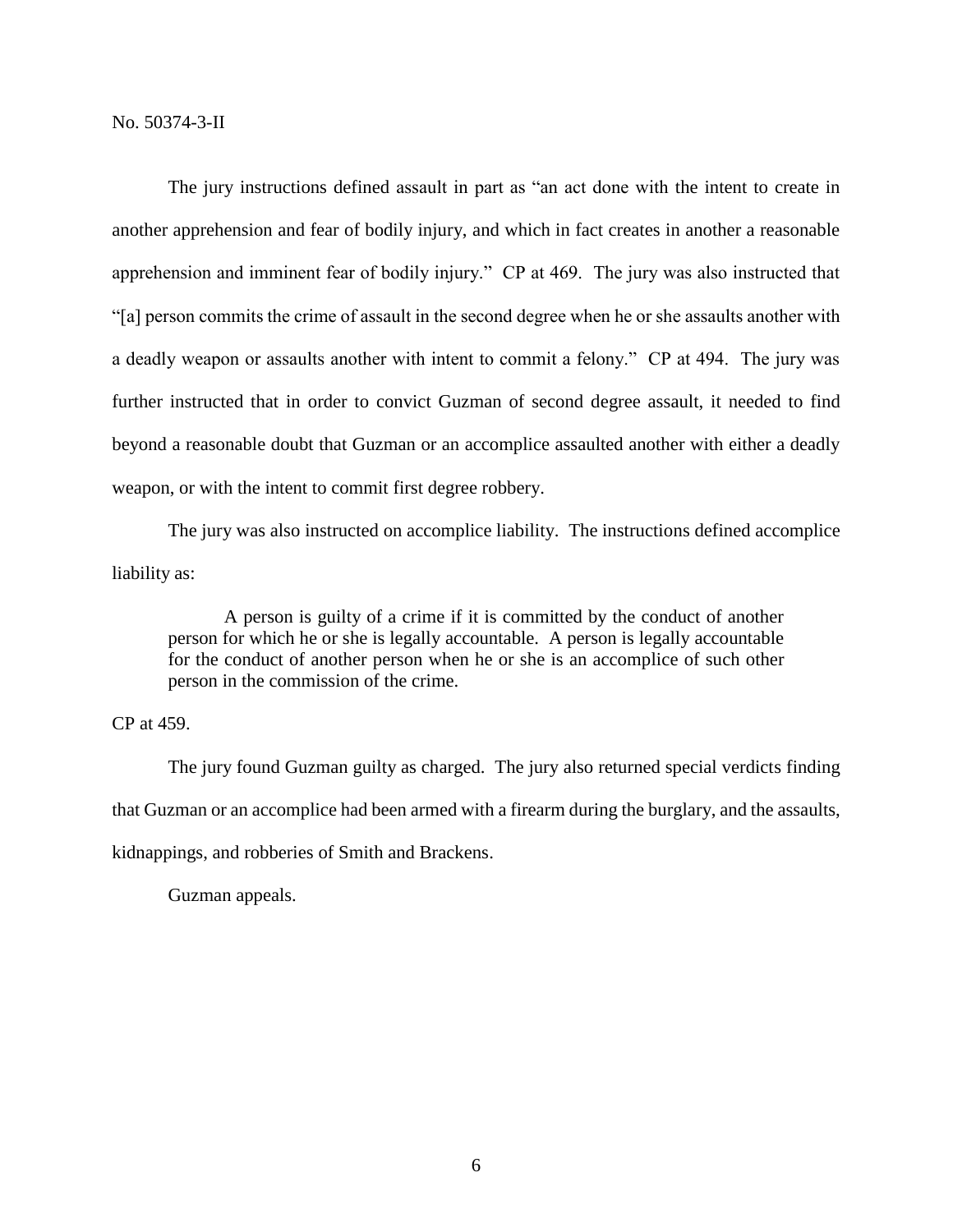The jury instructions defined assault in part as "an act done with the intent to create in another apprehension and fear of bodily injury, and which in fact creates in another a reasonable apprehension and imminent fear of bodily injury." CP at 469. The jury was also instructed that "[a] person commits the crime of assault in the second degree when he or she assaults another with a deadly weapon or assaults another with intent to commit a felony." CP at 494. The jury was further instructed that in order to convict Guzman of second degree assault, it needed to find beyond a reasonable doubt that Guzman or an accomplice assaulted another with either a deadly weapon, or with the intent to commit first degree robbery.

The jury was also instructed on accomplice liability. The instructions defined accomplice liability as:

A person is guilty of a crime if it is committed by the conduct of another person for which he or she is legally accountable. A person is legally accountable for the conduct of another person when he or she is an accomplice of such other person in the commission of the crime.

# CP at 459.

The jury found Guzman guilty as charged. The jury also returned special verdicts finding that Guzman or an accomplice had been armed with a firearm during the burglary, and the assaults, kidnappings, and robberies of Smith and Brackens.

Guzman appeals.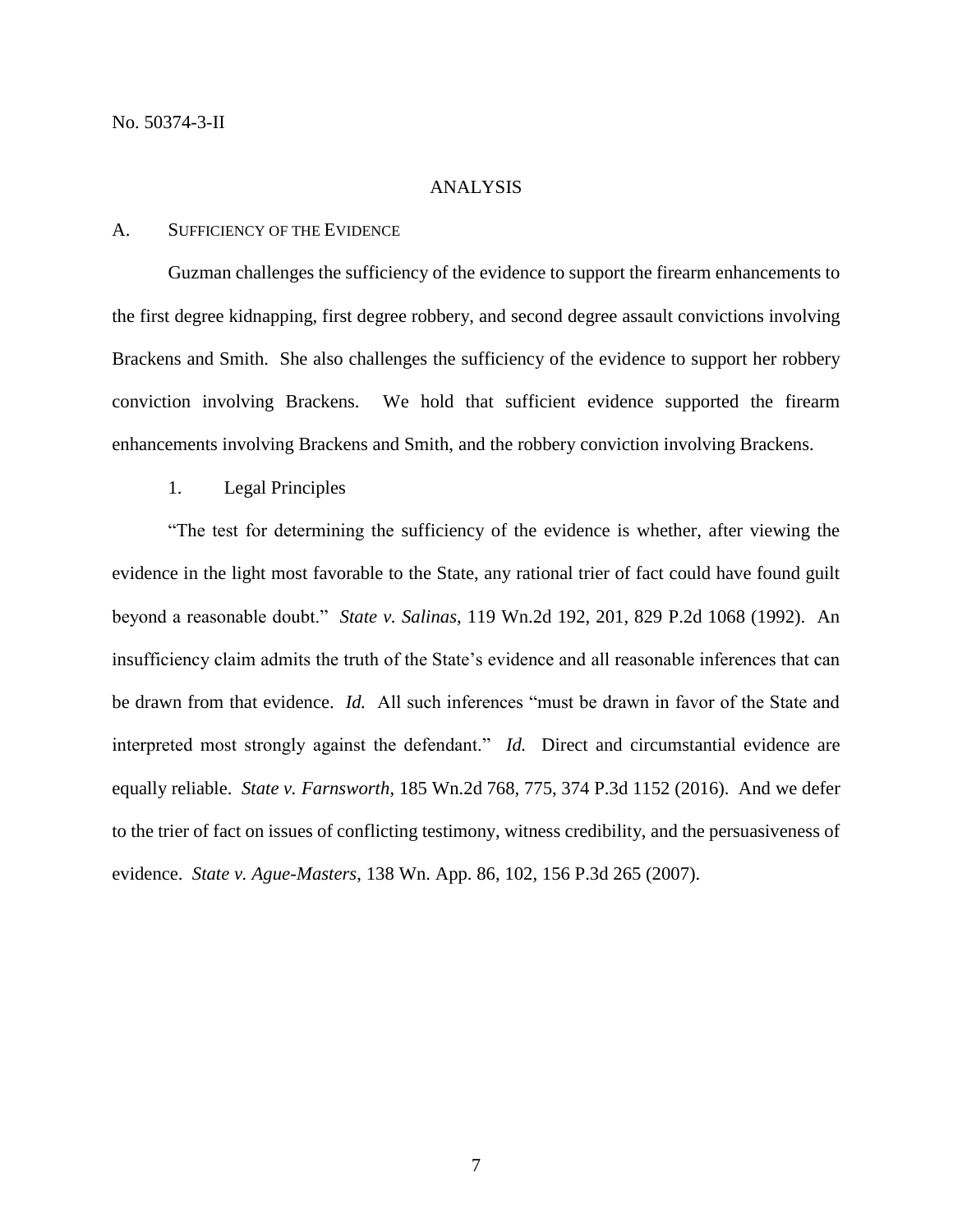# ANALYSIS

#### A. SUFFICIENCY OF THE EVIDENCE

Guzman challenges the sufficiency of the evidence to support the firearm enhancements to the first degree kidnapping, first degree robbery, and second degree assault convictions involving Brackens and Smith. She also challenges the sufficiency of the evidence to support her robbery conviction involving Brackens. We hold that sufficient evidence supported the firearm enhancements involving Brackens and Smith, and the robbery conviction involving Brackens.

1. Legal Principles

"The test for determining the sufficiency of the evidence is whether, after viewing the evidence in the light most favorable to the State, any rational trier of fact could have found guilt beyond a reasonable doubt." *State v. Salinas*, 119 Wn.2d 192, 201, 829 P.2d 1068 (1992). An insufficiency claim admits the truth of the State's evidence and all reasonable inferences that can be drawn from that evidence. *Id.* All such inferences "must be drawn in favor of the State and interpreted most strongly against the defendant." *Id.* Direct and circumstantial evidence are equally reliable. *State v. Farnsworth*, 185 Wn.2d 768, 775, 374 P.3d 1152 (2016). And we defer to the trier of fact on issues of conflicting testimony, witness credibility, and the persuasiveness of evidence. *State v. Ague-Masters*, 138 Wn. App. 86, 102, 156 P.3d 265 (2007).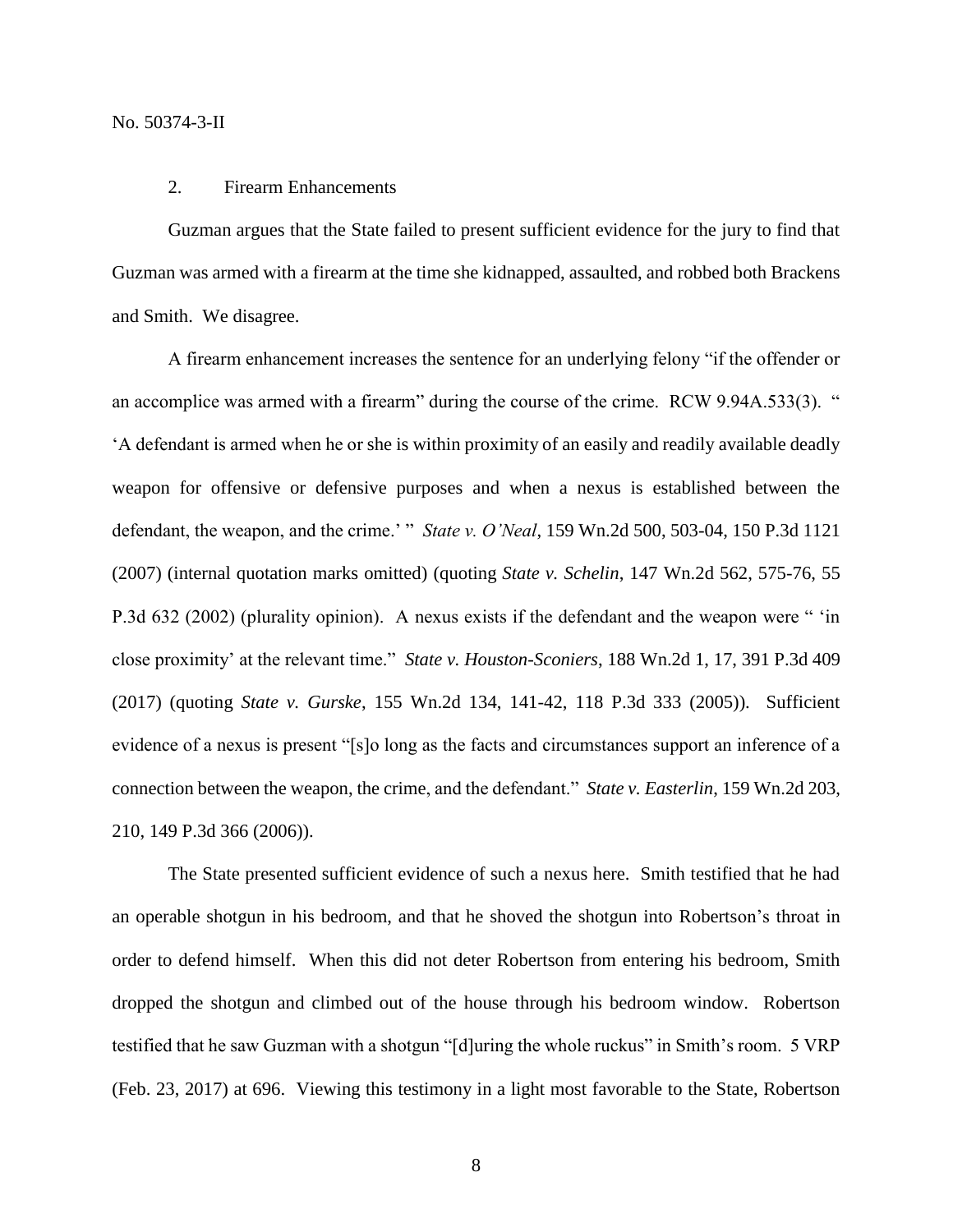# 2. Firearm Enhancements

Guzman argues that the State failed to present sufficient evidence for the jury to find that Guzman was armed with a firearm at the time she kidnapped, assaulted, and robbed both Brackens and Smith. We disagree.

A firearm enhancement increases the sentence for an underlying felony "if the offender or an accomplice was armed with a firearm" during the course of the crime. RCW 9.94A.533(3). " 'A defendant is armed when he or she is within proximity of an easily and readily available deadly weapon for offensive or defensive purposes and when a nexus is established between the defendant, the weapon, and the crime.' " *State v. O'Neal*, 159 Wn.2d 500, 503-04, 150 P.3d 1121 (2007) (internal quotation marks omitted) (quoting *State v. Schelin*, 147 Wn.2d 562, 575-76, 55 P.3d 632 (2002) (plurality opinion). A nexus exists if the defendant and the weapon were " 'in close proximity' at the relevant time." *State v. Houston-Sconiers*, 188 Wn.2d 1, 17, 391 P.3d 409 (2017) (quoting *State v. Gurske*, 155 Wn.2d 134, 141-42, 118 P.3d 333 (2005)). Sufficient evidence of a nexus is present "[s]o long as the facts and circumstances support an inference of a connection between the weapon, the crime, and the defendant." *State v. Easterlin*, 159 Wn.2d 203, 210, 149 P.3d 366 (2006)).

The State presented sufficient evidence of such a nexus here. Smith testified that he had an operable shotgun in his bedroom, and that he shoved the shotgun into Robertson's throat in order to defend himself. When this did not deter Robertson from entering his bedroom, Smith dropped the shotgun and climbed out of the house through his bedroom window. Robertson testified that he saw Guzman with a shotgun "[d]uring the whole ruckus" in Smith's room. 5 VRP (Feb. 23, 2017) at 696. Viewing this testimony in a light most favorable to the State, Robertson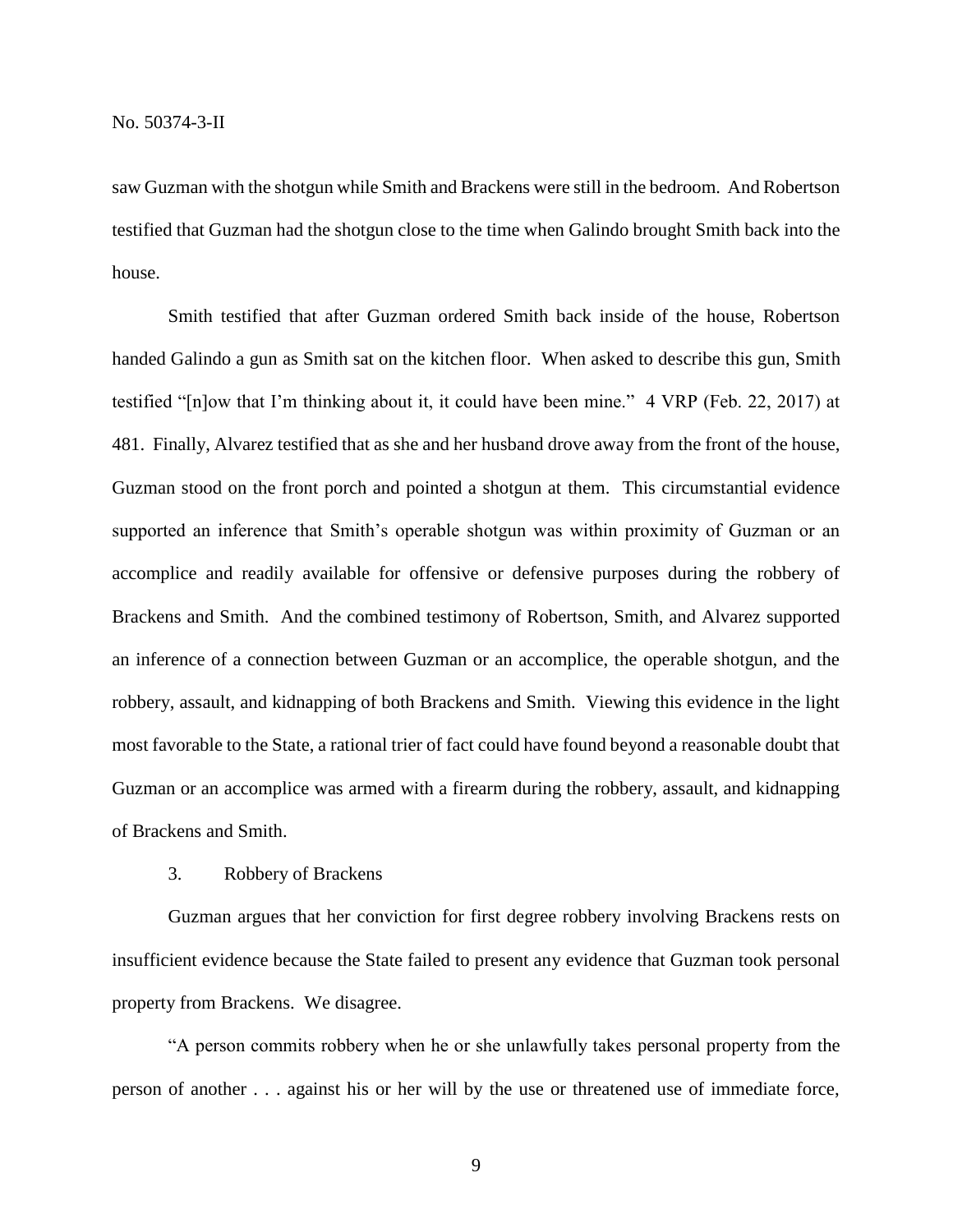saw Guzman with the shotgun while Smith and Brackens were still in the bedroom. And Robertson testified that Guzman had the shotgun close to the time when Galindo brought Smith back into the house.

Smith testified that after Guzman ordered Smith back inside of the house, Robertson handed Galindo a gun as Smith sat on the kitchen floor. When asked to describe this gun, Smith testified "[n]ow that I'm thinking about it, it could have been mine." 4 VRP (Feb. 22, 2017) at 481. Finally, Alvarez testified that as she and her husband drove away from the front of the house, Guzman stood on the front porch and pointed a shotgun at them. This circumstantial evidence supported an inference that Smith's operable shotgun was within proximity of Guzman or an accomplice and readily available for offensive or defensive purposes during the robbery of Brackens and Smith. And the combined testimony of Robertson, Smith, and Alvarez supported an inference of a connection between Guzman or an accomplice, the operable shotgun, and the robbery, assault, and kidnapping of both Brackens and Smith. Viewing this evidence in the light most favorable to the State, a rational trier of fact could have found beyond a reasonable doubt that Guzman or an accomplice was armed with a firearm during the robbery, assault, and kidnapping of Brackens and Smith.

#### 3. Robbery of Brackens

Guzman argues that her conviction for first degree robbery involving Brackens rests on insufficient evidence because the State failed to present any evidence that Guzman took personal property from Brackens. We disagree.

"A person commits robbery when he or she unlawfully takes personal property from the person of another . . . against his or her will by the use or threatened use of immediate force,

9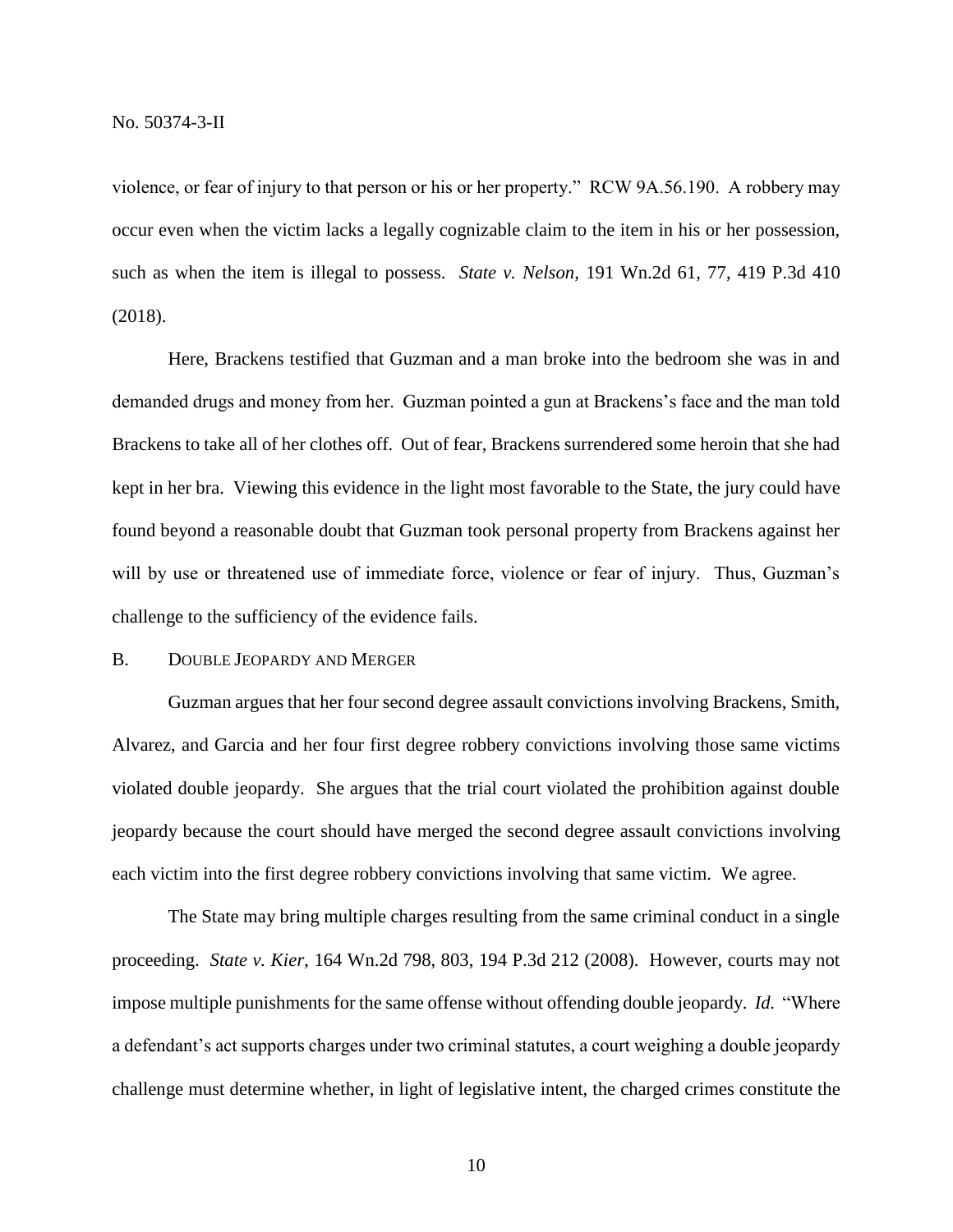violence, or fear of injury to that person or his or her property." RCW 9A.56.190. A robbery may occur even when the victim lacks a legally cognizable claim to the item in his or her possession, such as when the item is illegal to possess. *State v. Nelson*, 191 Wn.2d 61, 77, 419 P.3d 410 (2018).

Here, Brackens testified that Guzman and a man broke into the bedroom she was in and demanded drugs and money from her. Guzman pointed a gun at Brackens's face and the man told Brackens to take all of her clothes off. Out of fear, Brackens surrendered some heroin that she had kept in her bra. Viewing this evidence in the light most favorable to the State, the jury could have found beyond a reasonable doubt that Guzman took personal property from Brackens against her will by use or threatened use of immediate force, violence or fear of injury. Thus, Guzman's challenge to the sufficiency of the evidence fails.

#### B. DOUBLE JEOPARDY AND MERGER

Guzman argues that her four second degree assault convictions involving Brackens, Smith, Alvarez, and Garcia and her four first degree robbery convictions involving those same victims violated double jeopardy. She argues that the trial court violated the prohibition against double jeopardy because the court should have merged the second degree assault convictions involving each victim into the first degree robbery convictions involving that same victim. We agree.

The State may bring multiple charges resulting from the same criminal conduct in a single proceeding. *State v. Kier*, 164 Wn.2d 798, 803, 194 P.3d 212 (2008). However, courts may not impose multiple punishments for the same offense without offending double jeopardy. *Id.* "Where a defendant's act supports charges under two criminal statutes, a court weighing a double jeopardy challenge must determine whether, in light of legislative intent, the charged crimes constitute the

10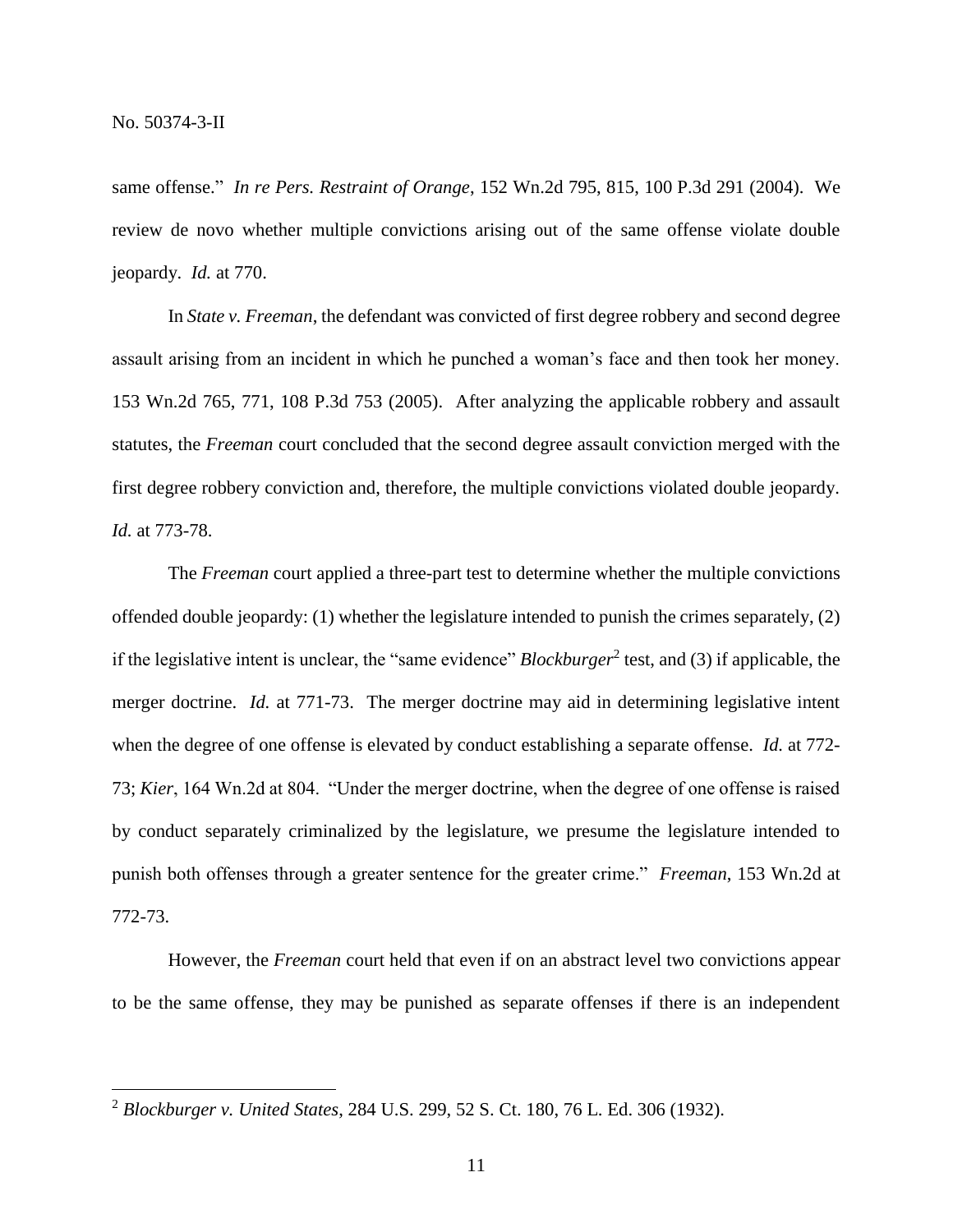$\overline{a}$ 

same offense." *In re Pers. Restraint of Orange*, 152 Wn.2d 795, 815, 100 P.3d 291 (2004). We review de novo whether multiple convictions arising out of the same offense violate double jeopardy. *Id.* at 770.

In *State v. Freeman*, the defendant was convicted of first degree robbery and second degree assault arising from an incident in which he punched a woman's face and then took her money. 153 Wn.2d 765, 771, 108 P.3d 753 (2005). After analyzing the applicable robbery and assault statutes, the *Freeman* court concluded that the second degree assault conviction merged with the first degree robbery conviction and, therefore, the multiple convictions violated double jeopardy. *Id.* at 773-78.

The *Freeman* court applied a three-part test to determine whether the multiple convictions offended double jeopardy: (1) whether the legislature intended to punish the crimes separately, (2) if the legislative intent is unclear, the "same evidence" *Blockburger*<sup>2</sup> test, and (3) if applicable, the merger doctrine. *Id.* at 771-73. The merger doctrine may aid in determining legislative intent when the degree of one offense is elevated by conduct establishing a separate offense. *Id.* at 772- 73; *Kier*, 164 Wn.2d at 804. "Under the merger doctrine, when the degree of one offense is raised by conduct separately criminalized by the legislature, we presume the legislature intended to punish both offenses through a greater sentence for the greater crime." *Freeman*, 153 Wn.2d at 772-73.

However, the *Freeman* court held that even if on an abstract level two convictions appear to be the same offense, they may be punished as separate offenses if there is an independent

<sup>2</sup> *Blockburger v. United States*, 284 U.S. 299, 52 S. Ct. 180, 76 L. Ed. 306 (1932).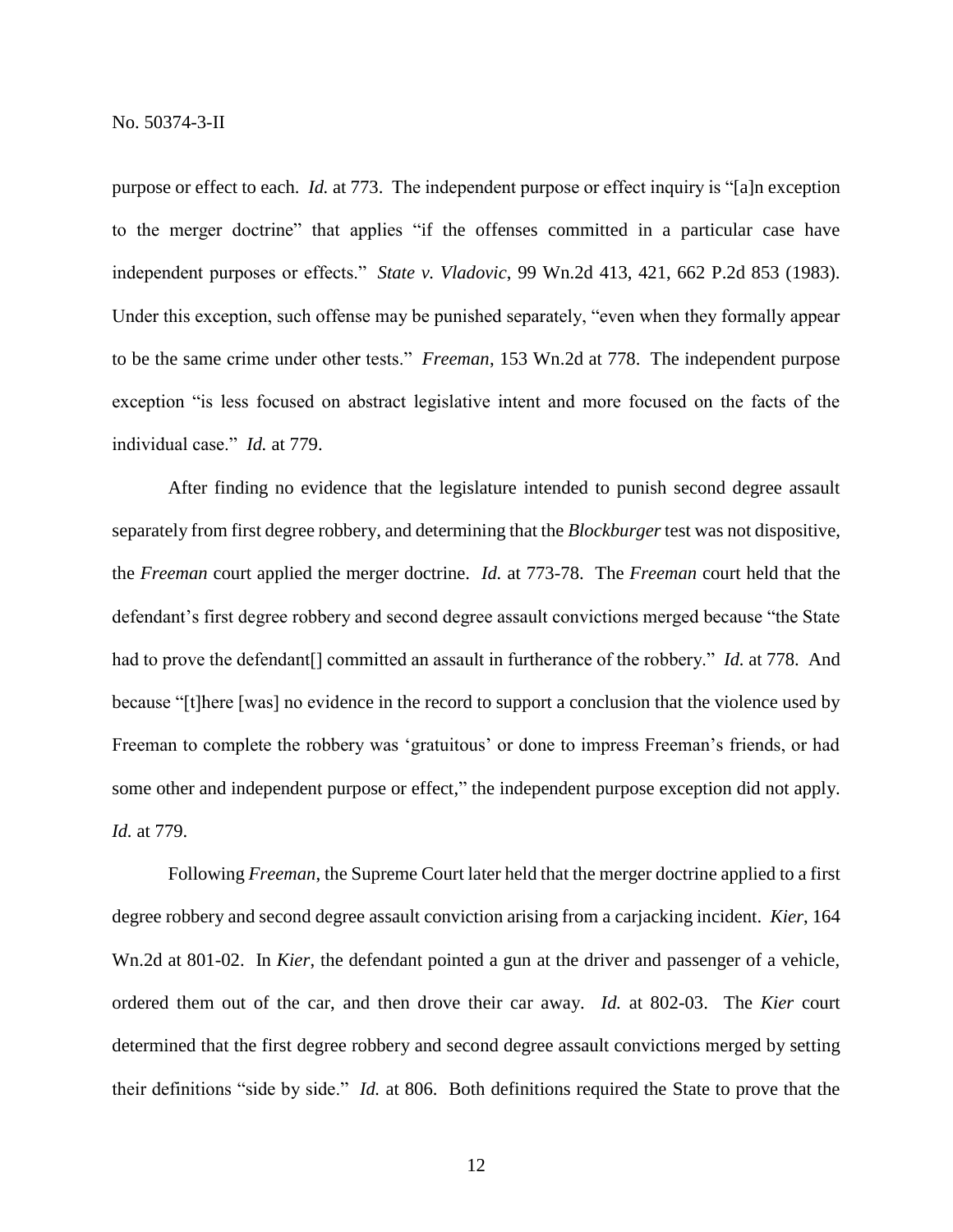purpose or effect to each. *Id.* at 773. The independent purpose or effect inquiry is "[a]n exception to the merger doctrine" that applies "if the offenses committed in a particular case have independent purposes or effects." *State v. Vladovic*, 99 Wn.2d 413, 421, 662 P.2d 853 (1983). Under this exception, such offense may be punished separately, "even when they formally appear to be the same crime under other tests." *Freeman*, 153 Wn.2d at 778. The independent purpose exception "is less focused on abstract legislative intent and more focused on the facts of the individual case." *Id.* at 779.

After finding no evidence that the legislature intended to punish second degree assault separately from first degree robbery, and determining that the *Blockburger* test was not dispositive, the *Freeman* court applied the merger doctrine. *Id.* at 773-78. The *Freeman* court held that the defendant's first degree robbery and second degree assault convictions merged because "the State had to prove the defendant<sup>[]</sup> committed an assault in furtherance of the robbery." *Id.* at 778. And because "[t]here [was] no evidence in the record to support a conclusion that the violence used by Freeman to complete the robbery was 'gratuitous' or done to impress Freeman's friends, or had some other and independent purpose or effect," the independent purpose exception did not apply. *Id.* at 779.

Following *Freeman*, the Supreme Court later held that the merger doctrine applied to a first degree robbery and second degree assault conviction arising from a carjacking incident. *Kier*, 164 Wn.2d at 801-02. In *Kier*, the defendant pointed a gun at the driver and passenger of a vehicle, ordered them out of the car, and then drove their car away. *Id.* at 802-03. The *Kier* court determined that the first degree robbery and second degree assault convictions merged by setting their definitions "side by side." *Id.* at 806. Both definitions required the State to prove that the

12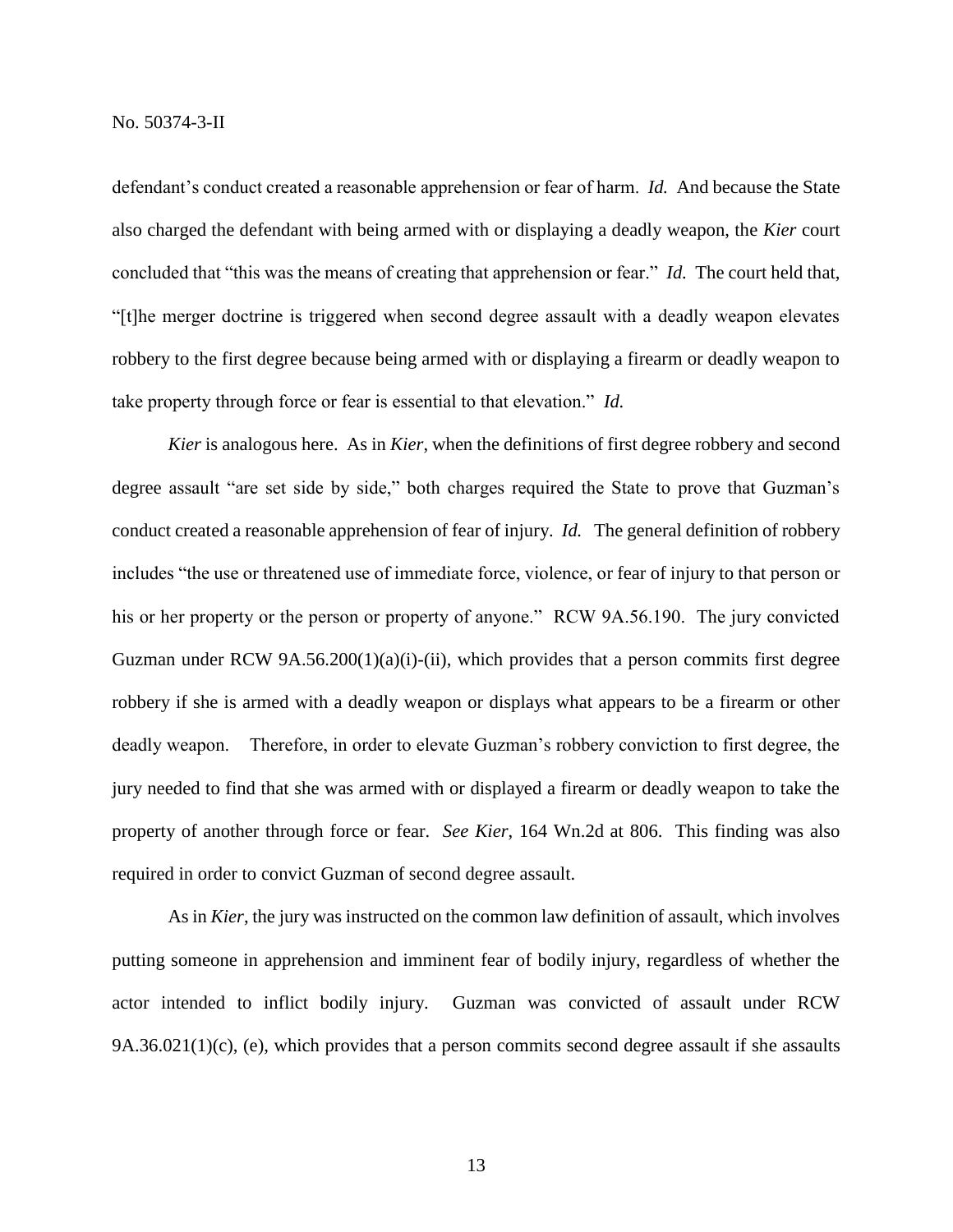defendant's conduct created a reasonable apprehension or fear of harm. *Id.* And because the State also charged the defendant with being armed with or displaying a deadly weapon, the *Kier* court concluded that "this was the means of creating that apprehension or fear." *Id.* The court held that, "[t]he merger doctrine is triggered when second degree assault with a deadly weapon elevates robbery to the first degree because being armed with or displaying a firearm or deadly weapon to take property through force or fear is essential to that elevation." *Id.*

*Kier* is analogous here. As in *Kier*, when the definitions of first degree robbery and second degree assault "are set side by side," both charges required the State to prove that Guzman's conduct created a reasonable apprehension of fear of injury. *Id.* The general definition of robbery includes "the use or threatened use of immediate force, violence, or fear of injury to that person or his or her property or the person or property of anyone." RCW 9A.56.190. The jury convicted Guzman under RCW  $9A.56.200(1)(a)(i)$ -(ii), which provides that a person commits first degree robbery if she is armed with a deadly weapon or displays what appears to be a firearm or other deadly weapon. Therefore, in order to elevate Guzman's robbery conviction to first degree, the jury needed to find that she was armed with or displayed a firearm or deadly weapon to take the property of another through force or fear. *See Kier*, 164 Wn.2d at 806. This finding was also required in order to convict Guzman of second degree assault.

As in *Kier*, the jury was instructed on the common law definition of assault, which involves putting someone in apprehension and imminent fear of bodily injury, regardless of whether the actor intended to inflict bodily injury. Guzman was convicted of assault under RCW  $9A.36.021(1)(c)$ , (e), which provides that a person commits second degree assault if she assaults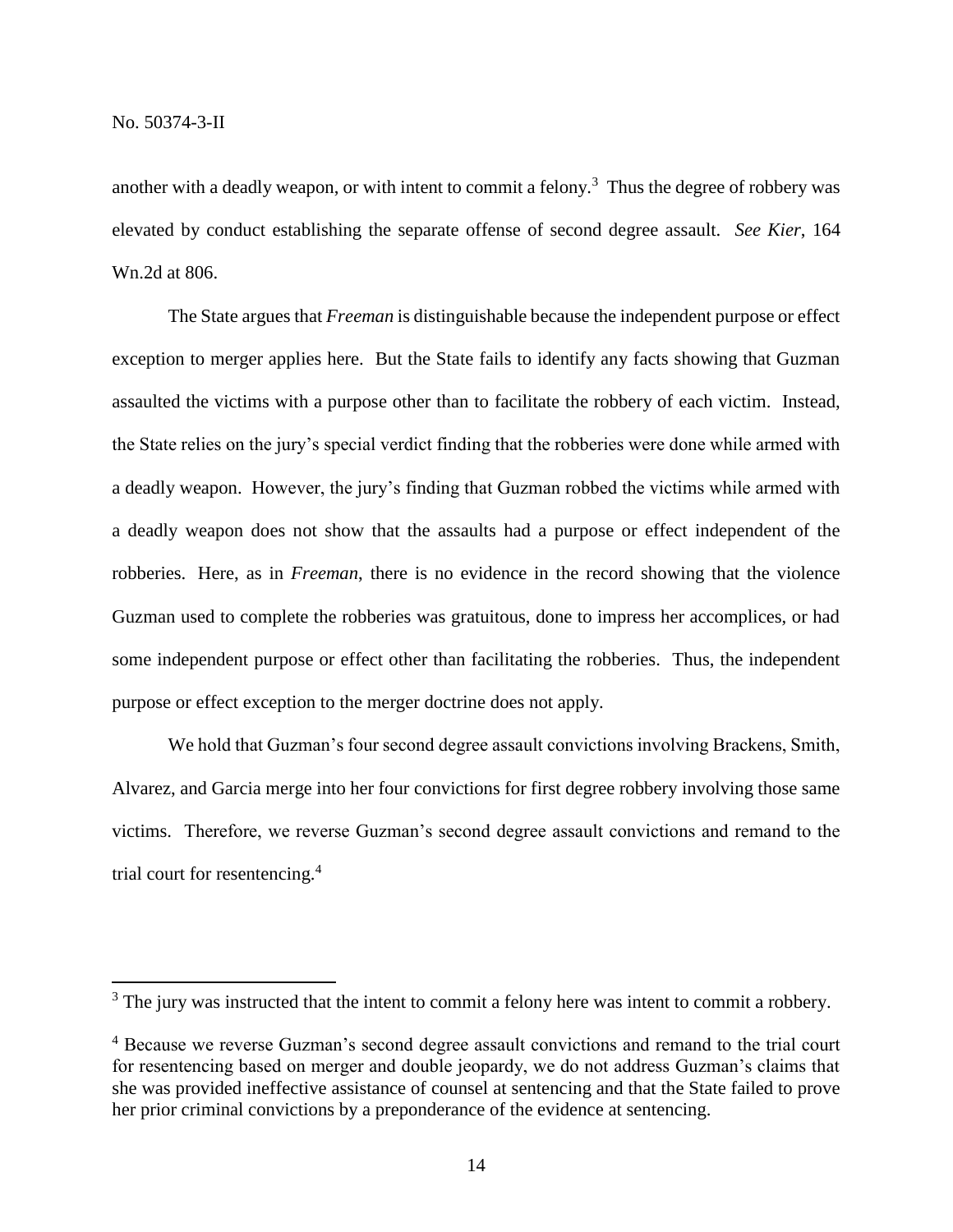$\overline{a}$ 

another with a deadly weapon, or with intent to commit a felony.<sup>3</sup> Thus the degree of robbery was elevated by conduct establishing the separate offense of second degree assault. *See Kier*, 164 Wn.2d at 806.

The State argues that *Freeman* is distinguishable because the independent purpose or effect exception to merger applies here. But the State fails to identify any facts showing that Guzman assaulted the victims with a purpose other than to facilitate the robbery of each victim. Instead, the State relies on the jury's special verdict finding that the robberies were done while armed with a deadly weapon. However, the jury's finding that Guzman robbed the victims while armed with a deadly weapon does not show that the assaults had a purpose or effect independent of the robberies. Here, as in *Freeman*, there is no evidence in the record showing that the violence Guzman used to complete the robberies was gratuitous, done to impress her accomplices, or had some independent purpose or effect other than facilitating the robberies. Thus, the independent purpose or effect exception to the merger doctrine does not apply.

We hold that Guzman's four second degree assault convictions involving Brackens, Smith, Alvarez, and Garcia merge into her four convictions for first degree robbery involving those same victims. Therefore, we reverse Guzman's second degree assault convictions and remand to the trial court for resentencing.<sup>4</sup>

<sup>&</sup>lt;sup>3</sup> The jury was instructed that the intent to commit a felony here was intent to commit a robbery.

<sup>&</sup>lt;sup>4</sup> Because we reverse Guzman's second degree assault convictions and remand to the trial court for resentencing based on merger and double jeopardy, we do not address Guzman's claims that she was provided ineffective assistance of counsel at sentencing and that the State failed to prove her prior criminal convictions by a preponderance of the evidence at sentencing.